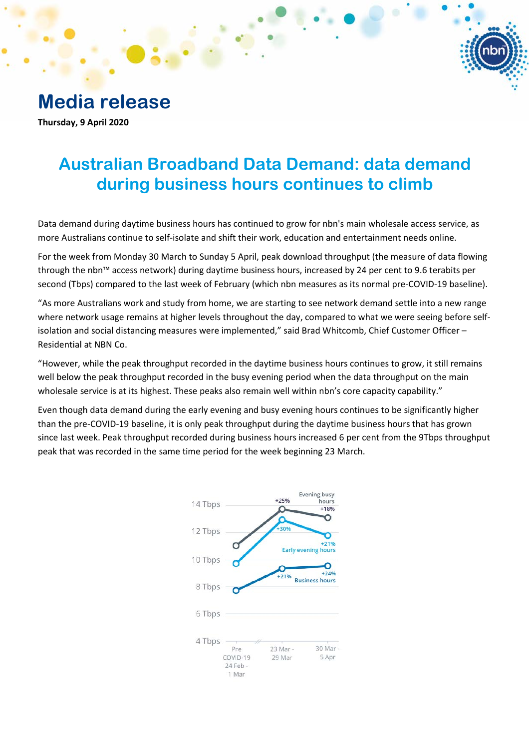**Media release**

**Thursday, 9 April 2020**

# **Australian Broadband Data Demand: data demand during business hours continues to climb**

Data demand during daytime business hours has continued to grow for nbn's main wholesale access service, as more Australians continue to self-isolate and shift their work, education and entertainment needs online.

For the week from Monday 30 March to Sunday 5 April, peak download throughput (the measure of data flowing through the nbn™ access network) during daytime business hours, increased by 24 per cent to 9.6 terabits per second (Tbps) compared to the last week of February (which nbn measures as its normal pre-COVID-19 baseline).

"As more Australians work and study from home, we are starting to see network demand settle into a new range where network usage remains at higher levels throughout the day, compared to what we were seeing before selfisolation and social distancing measures were implemented," said Brad Whitcomb, Chief Customer Officer – Residential at NBN Co.

"However, while the peak throughput recorded in the daytime business hours continues to grow, it still remains well below the peak throughput recorded in the busy evening period when the data throughput on the main wholesale service is at its highest. These peaks also remain well within nbn's core capacity capability."

Even though data demand during the early evening and busy evening hours continues to be significantly higher than the pre-COVID-19 baseline, it is only peak throughput during the daytime business hours that has grown since last week. Peak throughput recorded during business hours increased 6 per cent from the 9Tbps throughput peak that was recorded in the same time period for the week beginning 23 March.

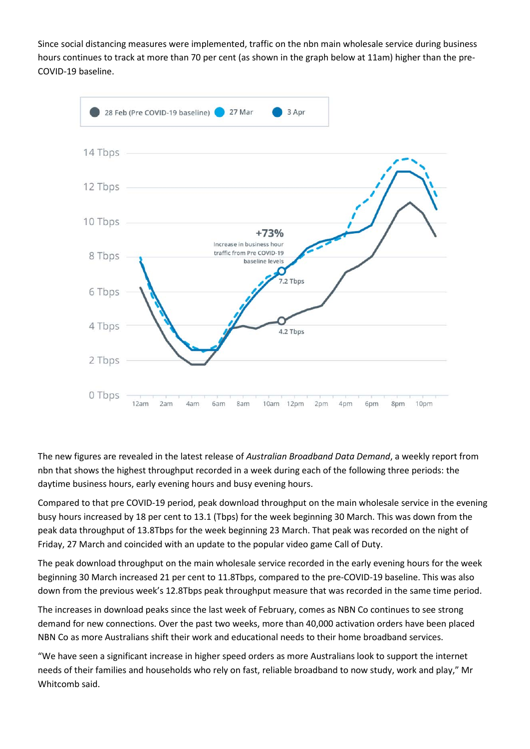Since social distancing measures were implemented, traffic on the nbn main wholesale service during business hours continues to track at more than 70 per cent (as shown in the graph below at 11am) higher than the pre-COVID-19 baseline.



The new figures are revealed in the latest release of *Australian Broadband Data Demand*, a weekly report from nbn that shows the highest throughput recorded in a week during each of the following three periods: the daytime business hours, early evening hours and busy evening hours.

Compared to that pre COVID-19 period, peak download throughput on the main wholesale service in the evening busy hours increased by 18 per cent to 13.1 (Tbps) for the week beginning 30 March. This was down from the peak data throughput of 13.8Tbps for the week beginning 23 March. That peak was recorded on the night of Friday, 27 March and coincided with an update to the popular video game Call of Duty.

The peak download throughput on the main wholesale service recorded in the early evening hours for the week beginning 30 March increased 21 per cent to 11.8Tbps, compared to the pre-COVID-19 baseline. This was also down from the previous week's 12.8Tbps peak throughput measure that was recorded in the same time period.

The increases in download peaks since the last week of February, comes as NBN Co continues to see strong demand for new connections. Over the past two weeks, more than 40,000 activation orders have been placed NBN Co as more Australians shift their work and educational needs to their home broadband services.

"We have seen a significant increase in higher speed orders as more Australians look to support the internet needs of their families and households who rely on fast, reliable broadband to now study, work and play," Mr Whitcomb said.